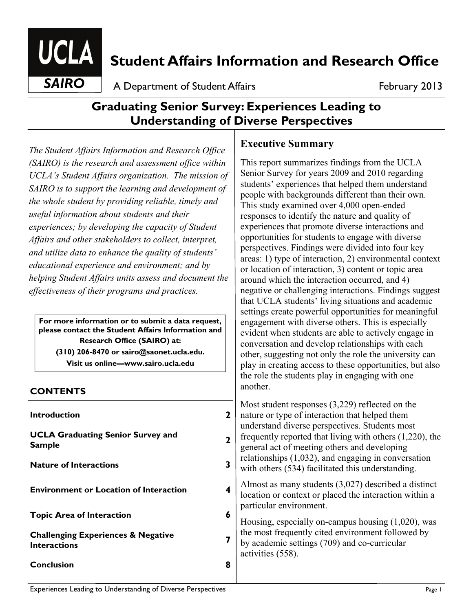

# **Student Affairs Information and Research Office**

**SAIRO** A Department of Student Affairs **February 2013** 

## **Graduating Senior Survey: Experiences Leading to Understanding of Diverse Perspectives**

*The Student Affairs Information and Research Office (SAIRO) is the research and assessment office within UCLA's Student Affairs organization. The mission of SAIRO is to support the learning and development of the whole student by providing reliable, timely and useful information about students and their experiences; by developing the capacity of Student Affairs and other stakeholders to collect, interpret, and utilize data to enhance the quality of students' educational experience and environment; and by helping Student Affairs units assess and document the effectiveness of their programs and practices.*

**For more information or to submit a data request, please contact the Student Affairs Information and Research Office (SAIRO) at: (310) 206-8470 or sairo@saonet.ucla.edu. Visit us online—www.sairo.ucla.edu** 

#### **CONTENTS**

| <b>Introduction</b>                                                  |  |
|----------------------------------------------------------------------|--|
| <b>UCLA Graduating Senior Survey and</b><br><b>Sample</b>            |  |
| <b>Nature of Interactions</b>                                        |  |
| <b>Environment or Location of Interaction</b>                        |  |
| <b>Topic Area of Interaction</b>                                     |  |
| <b>Challenging Experiences &amp; Negative</b><br><b>Interactions</b> |  |
| <b>Conclusion</b>                                                    |  |
|                                                                      |  |

## **Executive Summary**

This report summarizes findings from the UCLA Senior Survey for years 2009 and 2010 regarding students' experiences that helped them understand people with backgrounds different than their own. This study examined over 4,000 open-ended responses to identify the nature and quality of experiences that promote diverse interactions and opportunities for students to engage with diverse perspectives. Findings were divided into four key areas: 1) type of interaction, 2) environmental context or location of interaction, 3) content or topic area around which the interaction occurred, and 4) negative or challenging interactions. Findings suggest that UCLA students' living situations and academic settings create powerful opportunities for meaningful engagement with diverse others. This is especially evident when students are able to actively engage in conversation and develop relationships with each other, suggesting not only the role the university can play in creating access to these opportunities, but also the role the students play in engaging with one another.

Most student responses (3,229) reflected on the nature or type of interaction that helped them nderstand diverse perspectives. Students most requently reported that living with others  $(1,220)$ , the general act of meeting others and developing elationships  $(1,032)$ , and engaging in conversation with others (534) facilitated this understanding.

Almost as many students (3,027) described a distinct location or context or placed the interaction within a particular environment.

Housing, especially on-campus housing (1,020), was he most frequently cited environment followed by by academic settings (709) and co-curricular ctivities (558).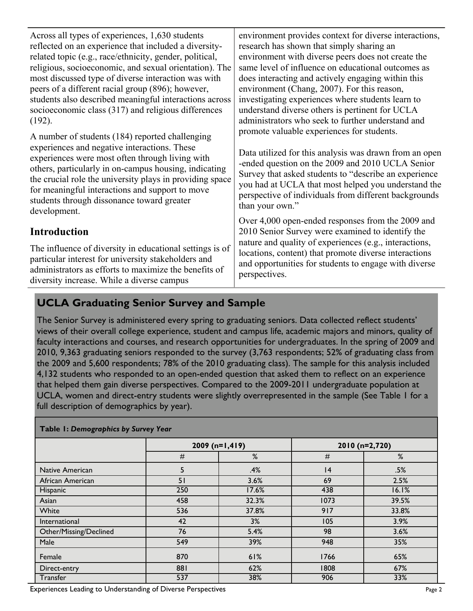| Across all types of experiences, 1,630 students<br>reflected on an experience that included a diversity-<br>related topic (e.g., race/ethnicity, gender, political,<br>religious, socioeconomic, and sexual orientation). The<br>most discussed type of diverse interaction was with<br>peers of a different racial group (896); however,<br>students also described meaningful interactions across<br>socioeconomic class (317) and religious differences<br>$(192)$ .<br>A number of students (184) reported challenging | environment provides context for diverse interactions,<br>research has shown that simply sharing an<br>environment with diverse peers does not create the<br>same level of influence on educational outcomes as<br>does interacting and actively engaging within this<br>environment (Chang, 2007). For this reason,<br>investigating experiences where students learn to<br>understand diverse others is pertinent for UCLA<br>administrators who seek to further understand and<br>promote valuable experiences for students. |
|----------------------------------------------------------------------------------------------------------------------------------------------------------------------------------------------------------------------------------------------------------------------------------------------------------------------------------------------------------------------------------------------------------------------------------------------------------------------------------------------------------------------------|---------------------------------------------------------------------------------------------------------------------------------------------------------------------------------------------------------------------------------------------------------------------------------------------------------------------------------------------------------------------------------------------------------------------------------------------------------------------------------------------------------------------------------|
| experiences and negative interactions. These<br>experiences were most often through living with<br>others, particularly in on-campus housing, indicating<br>the crucial role the university plays in providing space<br>for meaningful interactions and support to move<br>students through dissonance toward greater<br>development.                                                                                                                                                                                      | Data utilized for this analysis was drawn from an open<br>-ended question on the 2009 and 2010 UCLA Senior<br>Survey that asked students to "describe an experience"<br>you had at UCLA that most helped you understand the<br>perspective of individuals from different backgrounds<br>than your own."                                                                                                                                                                                                                         |
| <b>Introduction</b><br>The influence of diversity in educational settings is of<br>particular interest for university stakeholders and<br>administrators as efforts to maximize the benefits of<br>diversity increase. While a diverse campus                                                                                                                                                                                                                                                                              | Over 4,000 open-ended responses from the 2009 and<br>2010 Senior Survey were examined to identify the<br>nature and quality of experiences (e.g., interactions,<br>locations, content) that promote diverse interactions<br>and opportunities for students to engage with diverse<br>perspectives.                                                                                                                                                                                                                              |

## **UCLA Graduating Senior Survey and Sample**

The Senior Survey is administered every spring to graduating seniors. Data collected reflect students' views of their overall college experience, student and campus life, academic majors and minors, quality of faculty interactions and courses, and research opportunities for undergraduates. In the spring of 2009 and 2010, 9,363 graduating seniors responded to the survey (3,763 respondents; 52% of graduating class from the 2009 and 5,600 respondents; 78% of the 2010 graduating class). The sample for this analysis included 4,132 students who responded to an open-ended question that asked them to reflect on an experience that helped them gain diverse perspectives. Compared to the 2009-2011 undergraduate population at UCLA, women and direct-entry students were slightly overrepresented in the sample (See Table 1 for a full description of demographics by year).

| <b>Table 1: Demographics by Survey Tear</b> |                  |       |                |       |
|---------------------------------------------|------------------|-------|----------------|-------|
|                                             | $2009$ (n=1,419) |       | 2010 (n=2,720) |       |
|                                             | #                | %     | $\#$           | %     |
| Native American                             | 5                | .4%   | 4              | .5%   |
| African American                            | 51               | 3.6%  | 69             | 2.5%  |
| Hispanic                                    | 250              | 17.6% | 438            | 16.1% |
| Asian                                       | 458              | 32.3% | 1073           | 39.5% |
| White                                       | 536              | 37.8% | 917            | 33.8% |
| International                               | 42               | 3%    | 105            | 3.9%  |
| Other/Missing/Declined                      | 76               | 5.4%  | 98             | 3.6%  |
| Male                                        | 549              | 39%   | 948            | 35%   |
| Female                                      | 870              | 61%   | 1766           | 65%   |
| Direct-entry                                | 881              | 62%   | 1808           | 67%   |
| Transfer                                    | 537              | 38%   | 906            | 33%   |

**Table 1:** *Demographics by Survey Year*

Experiences Leading to Understanding of Diverse Perspectives Page 2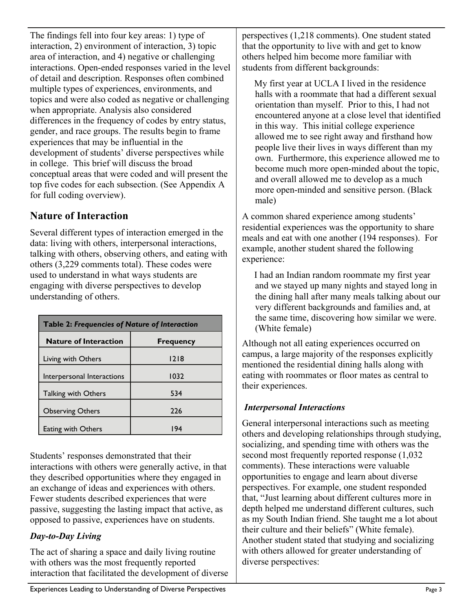The findings fell into four key areas: 1) type of interaction, 2) environment of interaction, 3) topic area of interaction, and 4) negative or challenging interactions. Open-ended responses varied in the level of detail and description. Responses often combined multiple types of experiences, environments, and topics and were also coded as negative or challenging when appropriate. Analysis also considered differences in the frequency of codes by entry status, gender, and race groups. The results begin to frame experiences that may be influential in the development of students' diverse perspectives while in college. This brief will discuss the broad conceptual areas that were coded and will present the top five codes for each subsection. (See Appendix A for full coding overview).

## **Nature of Interaction**

Several different types of interaction emerged in the data: living with others, interpersonal interactions, talking with others, observing others, and eating with others (3,229 comments total). These codes were used to understand in what ways students are engaging with diverse perspectives to develop understanding of others.

| Table 2: Frequencies of Nature of Interaction |                  |  |
|-----------------------------------------------|------------------|--|
| <b>Nature of Interaction</b>                  | <b>Frequency</b> |  |
| Living with Others                            | 1218             |  |
| Interpersonal Interactions                    | 1032             |  |
| <b>Talking with Others</b>                    | 534              |  |
| <b>Observing Others</b>                       | 226              |  |
| Eating with Others                            | 194              |  |

Students' responses demonstrated that their interactions with others were generally active, in that they described opportunities where they engaged in an exchange of ideas and experiences with others. Fewer students described experiences that were passive, suggesting the lasting impact that active, as opposed to passive, experiences have on students.

#### *Day-to-Day Living*

The act of sharing a space and daily living routine with others was the most frequently reported interaction that facilitated the development of diverse perspectives (1,218 comments). One student stated that the opportunity to live with and get to know others helped him become more familiar with students from different backgrounds:

My first year at UCLA I lived in the residence halls with a roommate that had a different sexual orientation than myself. Prior to this, I had not encountered anyone at a close level that identified in this way. This initial college experience allowed me to see right away and firsthand how people live their lives in ways different than my own. Furthermore, this experience allowed me to become much more open-minded about the topic, and overall allowed me to develop as a much more open-minded and sensitive person. (Black male)

A common shared experience among students' residential experiences was the opportunity to share meals and eat with one another (194 responses). For example, another student shared the following experience:

I had an Indian random roommate my first year and we stayed up many nights and stayed long in the dining hall after many meals talking about our very different backgrounds and families and, at the same time, discovering how similar we were. (White female)

Although not all eating experiences occurred on campus, a large majority of the responses explicitly mentioned the residential dining halls along with eating with roommates or floor mates as central to their experiences.

#### *Interpersonal Interactions*

General interpersonal interactions such as meeting others and developing relationships through studying, socializing, and spending time with others was the second most frequently reported response (1,032 comments). These interactions were valuable opportunities to engage and learn about diverse perspectives. For example, one student responded that, "Just learning about different cultures more in depth helped me understand different cultures, such as my South Indian friend. She taught me a lot about their culture and their beliefs" (White female). Another student stated that studying and socializing with others allowed for greater understanding of diverse perspectives: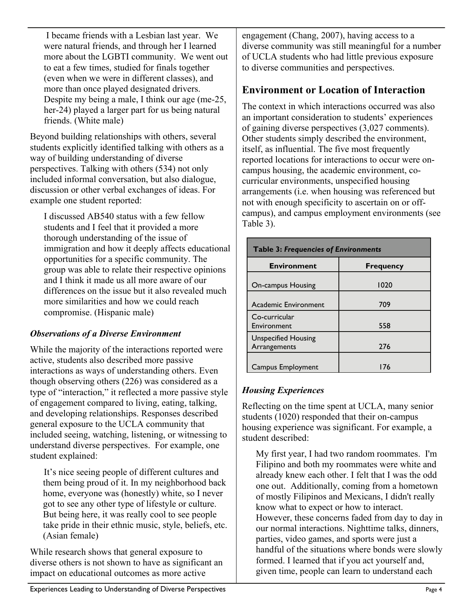I became friends with a Lesbian last year. We were natural friends, and through her I learned more about the LGBTI community. We went out to eat a few times, studied for finals together (even when we were in different classes), and more than once played designated drivers. Despite my being a male, I think our age (me-25, her-24) played a larger part for us being natural friends. (White male)

Beyond building relationships with others, several students explicitly identified talking with others as a way of building understanding of diverse perspectives. Talking with others (534) not only included informal conversation, but also dialogue, discussion or other verbal exchanges of ideas. For example one student reported:

I discussed AB540 status with a few fellow students and I feel that it provided a more thorough understanding of the issue of immigration and how it deeply affects educational opportunities for a specific community. The group was able to relate their respective opinions and I think it made us all more aware of our differences on the issue but it also revealed much more similarities and how we could reach compromise. (Hispanic male)

#### *Observations of a Diverse Environment*

While the majority of the interactions reported were active, students also described more passive interactions as ways of understanding others. Even though observing others (226) was considered as a type of "interaction," it reflected a more passive style of engagement compared to living, eating, talking, and developing relationships. Responses described general exposure to the UCLA community that included seeing, watching, listening, or witnessing to understand diverse perspectives. For example, one student explained:

It's nice seeing people of different cultures and them being proud of it. In my neighborhood back home, everyone was (honestly) white, so I never got to see any other type of lifestyle or culture. But being here, it was really cool to see people take pride in their ethnic music, style, beliefs, etc. (Asian female)

While research shows that general exposure to diverse others is not shown to have as significant an impact on educational outcomes as more active

engagement (Chang, 2007), having access to a diverse community was still meaningful for a number of UCLA students who had little previous exposure to diverse communities and perspectives.

### **Environment or Location of Interaction**

The context in which interactions occurred was also an important consideration to students' experiences of gaining diverse perspectives (3,027 comments). Other students simply described the environment, itself, as influential. The five most frequently reported locations for interactions to occur were oncampus housing, the academic environment, cocurricular environments, unspecified housing arrangements (i.e. when housing was referenced but not with enough specificity to ascertain on or offcampus), and campus employment environments (see Table 3).

| <b>Table 3: Frequencies of Environments</b> |                  |  |
|---------------------------------------------|------------------|--|
| <b>Environment</b>                          | <b>Frequency</b> |  |
| <b>On-campus Housing</b>                    | 1020             |  |
| Academic Environment                        | 709              |  |
| Co-curricular<br>Environment                | 558              |  |
| <b>Unspecified Housing</b><br>Arrangements  | 276              |  |
| Campus Employment                           | 176              |  |

#### *Housing Experiences*

Reflecting on the time spent at UCLA, many senior students (1020) responded that their on-campus housing experience was significant. For example, a student described:

My first year, I had two random roommates. I'm Filipino and both my roommates were white and already knew each other. I felt that I was the odd one out. Additionally, coming from a hometown of mostly Filipinos and Mexicans, I didn't really know what to expect or how to interact. However, these concerns faded from day to day in our normal interactions. Nighttime talks, dinners, parties, video games, and sports were just a handful of the situations where bonds were slowly formed. I learned that if you act yourself and, given time, people can learn to understand each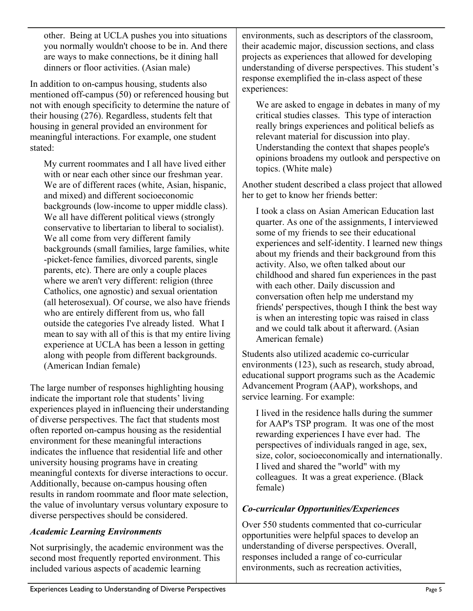other. Being at UCLA pushes you into situations you normally wouldn't choose to be in. And there are ways to make connections, be it dining hall dinners or floor activities. (Asian male)

In addition to on-campus housing, students also mentioned off-campus (50) or referenced housing but not with enough specificity to determine the nature of their housing (276). Regardless, students felt that housing in general provided an environment for meaningful interactions. For example, one student stated:

My current roommates and I all have lived either with or near each other since our freshman year. We are of different races (white, Asian, hispanic, and mixed) and different socioeconomic backgrounds (low-income to upper middle class). We all have different political views (strongly conservative to libertarian to liberal to socialist). We all come from very different family backgrounds (small families, large families, white -picket-fence families, divorced parents, single parents, etc). There are only a couple places where we aren't very different: religion (three Catholics, one agnostic) and sexual orientation (all heterosexual). Of course, we also have friends who are entirely different from us, who fall outside the categories I've already listed. What I mean to say with all of this is that my entire living experience at UCLA has been a lesson in getting along with people from different backgrounds. (American Indian female)

The large number of responses highlighting housing indicate the important role that students' living experiences played in influencing their understanding of diverse perspectives. The fact that students most often reported on-campus housing as the residential environment for these meaningful interactions indicates the influence that residential life and other university housing programs have in creating meaningful contexts for diverse interactions to occur. Additionally, because on-campus housing often results in random roommate and floor mate selection, the value of involuntary versus voluntary exposure to diverse perspectives should be considered.

#### *Academic Learning Environments*

Not surprisingly, the academic environment was the second most frequently reported environment. This included various aspects of academic learning

environments, such as descriptors of the classroom, their academic major, discussion sections, and class projects as experiences that allowed for developing understanding of diverse perspectives. This student's response exemplified the in-class aspect of these experiences:

We are asked to engage in debates in many of my critical studies classes. This type of interaction really brings experiences and political beliefs as relevant material for discussion into play. Understanding the context that shapes people's opinions broadens my outlook and perspective on topics. (White male)

Another student described a class project that allowed her to get to know her friends better:

I took a class on Asian American Education last quarter. As one of the assignments, I interviewed some of my friends to see their educational experiences and self-identity. I learned new things about my friends and their background from this activity. Also, we often talked about our childhood and shared fun experiences in the past with each other. Daily discussion and conversation often help me understand my friends' perspectives, though I think the best way is when an interesting topic was raised in class and we could talk about it afterward. (Asian American female)

Students also utilized academic co-curricular environments (123), such as research, study abroad, educational support programs such as the Academic Advancement Program (AAP), workshops, and service learning. For example:

I lived in the residence halls during the summer for AAP's TSP program. It was one of the most rewarding experiences I have ever had. The perspectives of individuals ranged in age, sex, size, color, socioeconomically and internationally. I lived and shared the "world" with my colleagues. It was a great experience. (Black female)

#### *Co-curricular Opportunities/Experiences*

Over 550 students commented that co-curricular opportunities were helpful spaces to develop an understanding of diverse perspectives. Overall, responses included a range of co-curricular environments, such as recreation activities,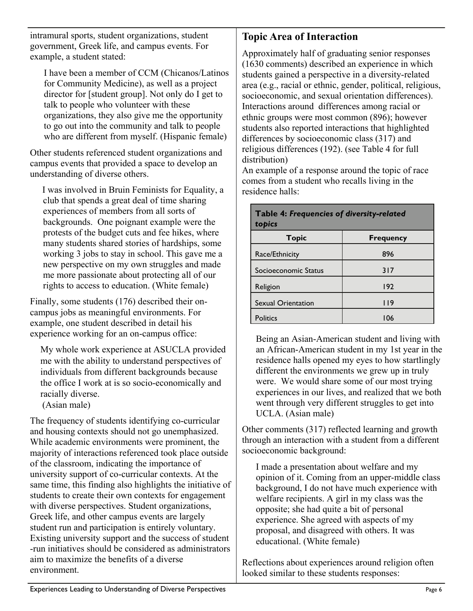intramural sports, student organizations, student government, Greek life, and campus events. For example, a student stated:

I have been a member of CCM (Chicanos/Latinos for Community Medicine), as well as a project director for [student group]. Not only do I get to talk to people who volunteer with these organizations, they also give me the opportunity to go out into the community and talk to people who are different from myself. (Hispanic female)

Other students referenced student organizations and campus events that provided a space to develop an understanding of diverse others.

I was involved in Bruin Feminists for Equality, a club that spends a great deal of time sharing experiences of members from all sorts of backgrounds. One poignant example were the protests of the budget cuts and fee hikes, where many students shared stories of hardships, some working 3 jobs to stay in school. This gave me a new perspective on my own struggles and made me more passionate about protecting all of our rights to access to education. (White female)

Finally, some students (176) described their oncampus jobs as meaningful environments. For example, one student described in detail his experience working for an on-campus office:

My whole work experience at ASUCLA provided me with the ability to understand perspectives of individuals from different backgrounds because the office I work at is so socio-economically and racially diverse.

(Asian male)

The frequency of students identifying co-curricular and housing contexts should not go unemphasized. While academic environments were prominent, the majority of interactions referenced took place outside of the classroom, indicating the importance of university support of co-curricular contexts. At the same time, this finding also highlights the initiative of students to create their own contexts for engagement with diverse perspectives. Student organizations, Greek life, and other campus events are largely student run and participation is entirely voluntary. Existing university support and the success of student -run initiatives should be considered as administrators aim to maximize the benefits of a diverse environment.

### **Topic Area of Interaction**

Approximately half of graduating senior responses (1630 comments) described an experience in which students gained a perspective in a diversity-related area (e.g., racial or ethnic, gender, political, religious, socioeconomic, and sexual orientation differences). Interactions around differences among racial or ethnic groups were most common (896); however students also reported interactions that highlighted differences by socioeconomic class (317) and religious differences (192). (see Table 4 for full distribution)

An example of a response around the topic of race comes from a student who recalls living in the residence halls:

**Table 4:** *Frequencies of diversity-related* 

| <b>I able 4: Frequencies of diversity-related</b><br>topics |                  |  |
|-------------------------------------------------------------|------------------|--|
| <b>Topic</b>                                                | <b>Frequency</b> |  |
| Race/Ethnicity                                              | 896              |  |
| Socioeconomic Status                                        | 317              |  |
| Religion                                                    | 192              |  |
| <b>Sexual Orientation</b>                                   | <u> 119</u>      |  |
| <b>Politics</b>                                             | 106              |  |

#### Being an Asian-American student and living with an African-American student in my 1st year in the residence halls opened my eyes to how startlingly different the environments we grew up in truly were. We would share some of our most trying experiences in our lives, and realized that we both went through very different struggles to get into UCLA. (Asian male)

Other comments (317) reflected learning and growth through an interaction with a student from a different socioeconomic background:

I made a presentation about welfare and my opinion of it. Coming from an upper-middle class background, I do not have much experience with welfare recipients. A girl in my class was the opposite; she had quite a bit of personal experience. She agreed with aspects of my proposal, and disagreed with others. It was educational. (White female)

Reflections about experiences around religion often looked similar to these students responses: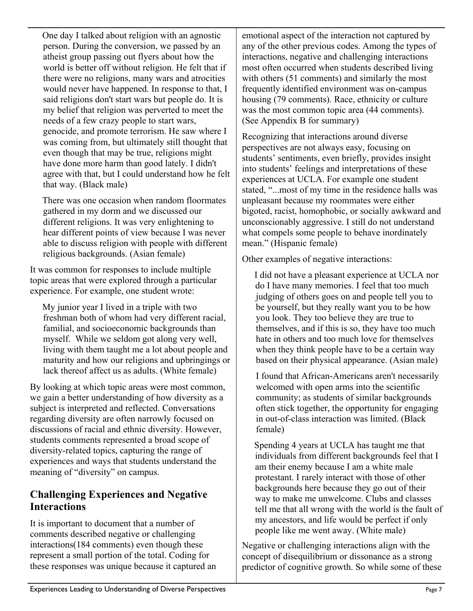One day I talked about religion with an agnostic person. During the conversion, we passed by an atheist group passing out flyers about how the world is better off without religion. He felt that if there were no religions, many wars and atrocities would never have happened. In response to that, I said religions don't start wars but people do. It is my belief that religion was perverted to meet the needs of a few crazy people to start wars, genocide, and promote terrorism. He saw where I was coming from, but ultimately still thought that even though that may be true, religions might have done more harm than good lately. I didn't agree with that, but I could understand how he felt that way. (Black male)

There was one occasion when random floormates gathered in my dorm and we discussed our different religions. It was very enlightening to hear different points of view because I was never able to discuss religion with people with different religious backgrounds. (Asian female)

It was common for responses to include multiple topic areas that were explored through a particular experience. For example, one student wrote:

My junior year I lived in a triple with two freshman both of whom had very different racial, familial, and socioeconomic backgrounds than myself. While we seldom got along very well, living with them taught me a lot about people and maturity and how our religions and upbringings or lack thereof affect us as adults. (White female)

By looking at which topic areas were most common, we gain a better understanding of how diversity as a subject is interpreted and reflected. Conversations regarding diversity are often narrowly focused on discussions of racial and ethnic diversity. However, students comments represented a broad scope of diversity-related topics, capturing the range of experiences and ways that students understand the meaning of "diversity" on campus.

## **Challenging Experiences and Negative Interactions**

It is important to document that a number of comments described negative or challenging interactions(184 comments) even though these represent a small portion of the total. Coding for these responses was unique because it captured an emotional aspect of the interaction not captured by any of the other previous codes. Among the types of interactions, negative and challenging interactions most often occurred when students described living with others (51 comments) and similarly the most frequently identified environment was on-campus housing (79 comments). Race, ethnicity or culture was the most common topic area (44 comments). (See Appendix B for summary)

Recognizing that interactions around diverse perspectives are not always easy, focusing on students' sentiments, even briefly, provides insight into students' feelings and interpretations of these experiences at UCLA. For example one student stated, "...most of my time in the residence halls was unpleasant because my roommates were either bigoted, racist, homophobic, or socially awkward and unconscionably aggressive. I still do not understand what compels some people to behave inordinately mean." (Hispanic female)

Other examples of negative interactions:

I did not have a pleasant experience at UCLA nor do I have many memories. I feel that too much judging of others goes on and people tell you to be yourself, but they really want you to be how you look. They too believe they are true to themselves, and if this is so, they have too much hate in others and too much love for themselves when they think people have to be a certain way based on their physical appearance. (Asian male)

I found that African-Americans aren't necessarily welcomed with open arms into the scientific community; as students of similar backgrounds often stick together, the opportunity for engaging in out-of-class interaction was limited. (Black female)

Spending 4 years at UCLA has taught me that individuals from different backgrounds feel that I am their enemy because I am a white male protestant. I rarely interact with those of other backgrounds here because they go out of their way to make me unwelcome. Clubs and classes tell me that all wrong with the world is the fault of my ancestors, and life would be perfect if only people like me went away. (White male)

Negative or challenging interactions align with the concept of disequilibrium or dissonance as a strong predictor of cognitive growth. So while some of these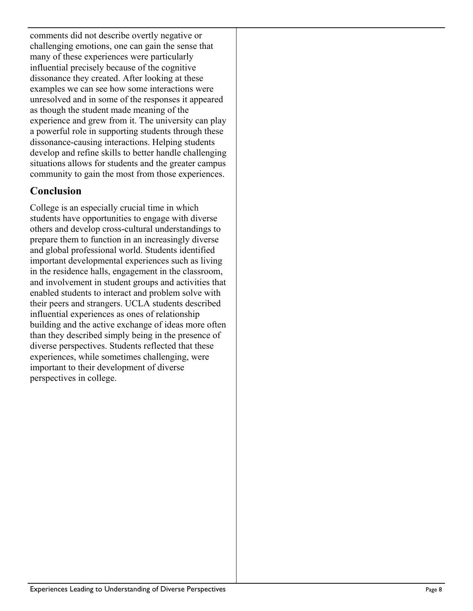comments did not describe overtly negative or challenging emotions, one can gain the sense that many of these experiences were particularly influential precisely because of the cognitive dissonance they created. After looking at these examples we can see how some interactions were unresolved and in some of the responses it appeared as though the student made meaning of the experience and grew from it. The university can play a powerful role in supporting students through these dissonance-causing interactions. Helping students develop and refine skills to better handle challenging situations allows for students and the greater campus community to gain the most from those experiences.

### **Conclusion**

College is an especially crucial time in which students have opportunities to engage with diverse others and develop cross-cultural understandings to prepare them to function in an increasingly diverse and global professional world. Students identified important developmental experiences such as living in the residence halls, engagement in the classroom, and involvement in student groups and activities that enabled students to interact and problem solve with their peers and strangers. UCLA students described influential experiences as ones of relationship building and the active exchange of ideas more often than they described simply being in the presence of diverse perspectives. Students reflected that these experiences, while sometimes challenging, were important to their development of diverse perspectives in college.